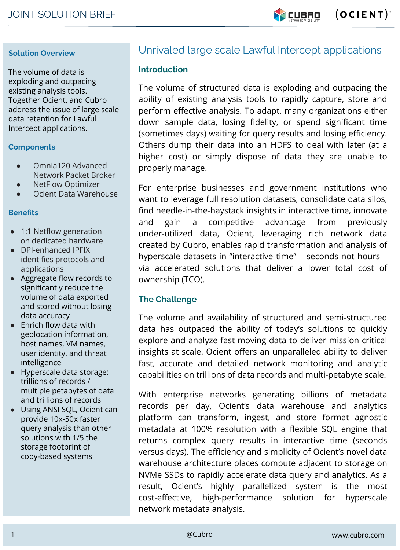$|$  (OCIENT) **Y CUBRO** 

#### **Solution Overview**

The volume of data is exploding and outpacing existing analysis tools. Together Ocient, and Cubro address the issue of large scale data retention for Lawful Intercept applications.

#### **Components**

- Omnia120 Advanced Network Packet Broker
- **NetFlow Optimizer**
- Ocient Data Warehouse

#### **Benefits**

- 1:1 Netflow generation on dedicated hardware
- DPI-enhanced IPFIX identifies protocols and applications
- Aggregate flow records to significantly reduce the volume of data exported and stored without losing data accuracy
- $\bullet$  Enrich flow data with geolocation information, host names, VM names, user identity, and threat intelligence
- Hyperscale data storage; trillions of records / multiple petabytes of data and trillions of records
- Using ANSI SQL, Ocient can provide 10x-50x faster query analysis than other solutions with 1/5 the storage footprint of copy-based systems

# Unrivaled large scale Lawful Intercept applications

### **Introduction**

The volume of structured data is exploding and outpacing the ability of existing analysis tools to rapidly capture, store and perform effective analysis. To adapt, many organizations either down sample data, losing fidelity, or spend significant time (sometimes days) waiting for query results and losing efficiency. Others dump their data into an HDFS to deal with later (at a higher cost) or simply dispose of data they are unable to properly manage.

For enterprise businesses and government institutions who want to leverage full resolution datasets, consolidate data silos, find needle-in-the-haystack insights in interactive time, innovate and gain a competitive advantage from previously under-utilized data, Ocient, leveraging rich network data created by Cubro, enables rapid transformation and analysis of hyperscale datasets in "interactive time" – seconds not hours – via accelerated solutions that deliver a lower total cost of ownership (TCO).

## **The Challenge**

The volume and availability of structured and semi-structured data has outpaced the ability of today's solutions to quickly explore and analyze fast-moving data to deliver mission-critical insights at scale. Ocient offers an unparalleled ability to deliver fast, accurate and detailed network monitoring and analytic capabilities on trillions of data records and multi-petabyte scale.

With enterprise networks generating billions of metadata records per day, Ocient's data warehouse and analytics platform can transform, ingest, and store format agnostic metadata at 100% resolution with a flexible SQL engine that returns complex query results in interactive time (seconds versus days). The efficiency and simplicity of Ocient's novel data warehouse architecture places compute adjacent to storage on NVMe SSDs to rapidly accelerate data query and analytics. As a result, Ocient's highly parallelized system is the most cost-effective, high-performance solution for hyperscale network metadata analysis.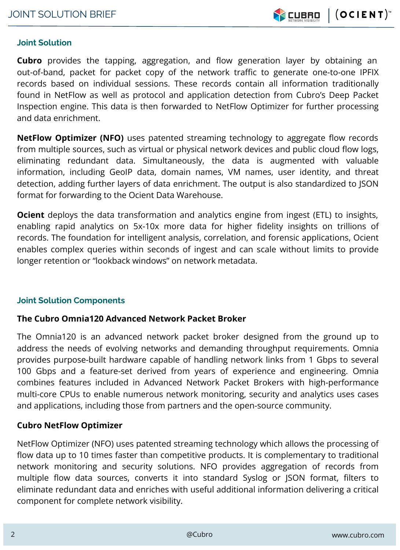

## **Joint Solution**

**Cubro** provides the tapping, aggregation, and flow generation layer by obtaining an out-of-band, packet for packet copy of the network traffic to generate one-to-one IPFIX records based on individual sessions. These records contain all information traditionally found in NetFlow as well as protocol and application detection from Cubro's Deep Packet Inspection engine. This data is then forwarded to NetFlow Optimizer for further processing and data enrichment.

**NetFlow Optimizer (NFO)** uses patented streaming technology to aggregate flow records from multiple sources, such as virtual or physical network devices and public cloud flow logs, eliminating redundant data. Simultaneously, the data is augmented with valuable information, including GeoIP data, domain names, VM names, user identity, and threat detection, adding further layers of data enrichment. The output is also standardized to JSON format for forwarding to the Ocient Data Warehouse.

**Ocient** deploys the data transformation and analytics engine from ingest (ETL) to insights, enabling rapid analytics on 5x-10x more data for higher fidelity insights on trillions of records. The foundation for intelligent analysis, correlation, and forensic applications, Ocient enables complex queries within seconds of ingest and can scale without limits to provide longer retention or "lookback windows" on network metadata.

## **Joint Solution Components**

# **The Cubro Omnia120 Advanced Network Packet Broker**

The Omnia120 is an advanced network packet broker designed from the ground up to address the needs of evolving networks and demanding throughput requirements. Omnia provides purpose-built hardware capable of handling network links from 1 Gbps to several 100 Gbps and a feature-set derived from years of experience and engineering. Omnia combines features included in Advanced Network Packet Brokers with high-performance multi-core CPUs to enable numerous network monitoring, security and analytics uses cases and applications, including those from partners and the open-source community.

# **Cubro NetFlow Optimizer**

NetFlow Optimizer (NFO) uses patented streaming technology which allows the processing of flow data up to 10 times faster than competitive products. It is complementary to traditional network monitoring and security solutions. NFO provides aggregation of records from multiple flow data sources, converts it into standard Syslog or JSON format, filters to eliminate redundant data and enriches with useful additional information delivering a critical component for complete network visibility.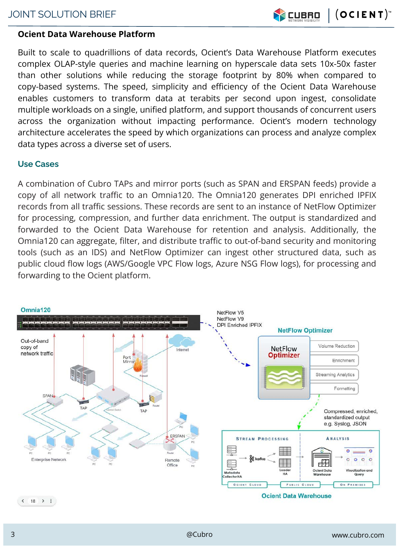

# **Ocient Data Warehouse Platform**

Built to scale to quadrillions of data records, Ocient's Data Warehouse Platform executes complex OLAP-style queries and machine learning on hyperscale data sets 10x-50x faster than other solutions while reducing the storage footprint by 80% when compared to copy-based systems. The speed, simplicity and efficiency of the Ocient Data Warehouse enables customers to transform data at terabits per second upon ingest, consolidate multiple workloads on a single, unified platform, and support thousands of concurrent users across the organization without impacting performance. Ocient's modern technology architecture accelerates the speed by which organizations can process and analyze complex data types across a diverse set of users.

## **Use Cases**

A combination of Cubro TAPs and mirror ports (such as SPAN and ERSPAN feeds) provide a copy of all network traffic to an Omnia120. The Omnia120 generates DPI enriched IPFIX records from all traffic sessions. These records are sent to an instance of NetFlow Optimizer for processing, compression, and further data enrichment. The output is standardized and forwarded to the Ocient Data Warehouse for retention and analysis. Additionally, the Omnia120 can aggregate, filter, and distribute traffic to out-of-band security and monitoring tools (such as an IDS) and NetFlow Optimizer can ingest other structured data, such as public cloud flow logs (AWS/Google VPC Flow logs, Azure NSG Flow logs), for processing and forwarding to the Ocient platform.

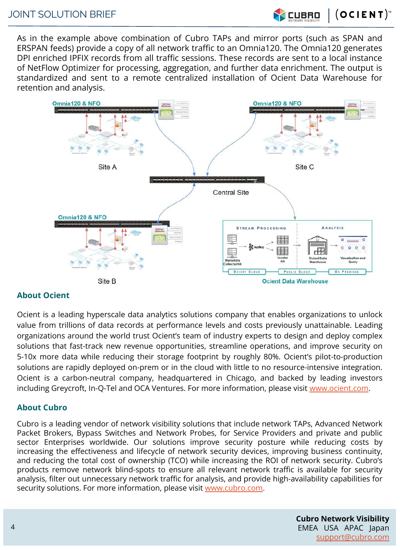$(OCIENT)^*$ 

**CUBRO** 

As in the example above combination of Cubro TAPs and mirror ports (such as SPAN and ERSPAN feeds) provide a copy of all network traffic to an Omnia120. The Omnia120 generates DPI enriched IPFIX records from all traffic sessions. These records are sent to a local instance of NetFlow Optimizer for processing, aggregation, and further data enrichment. The output is standardized and sent to a remote centralized installation of Ocient Data Warehouse for retention and analysis.



#### **About Ocient**

Ocient is a leading hyperscale data analytics solutions company that enables organizations to unlock value from trillions of data records at performance levels and costs previously unattainable. Leading organizations around the world trust Ocient's team of industry experts to design and deploy complex solutions that fast-track new revenue opportunities, streamline operations, and improve security on 5-10x more data while reducing their storage footprint by roughly 80%. Ocient's pilot-to-production solutions are rapidly deployed on-prem or in the cloud with little to no resource-intensive integration. Ocient is a carbon-neutral company, headquartered in Chicago, and backed by leading investors including Greycroft, In-Q-Tel and OCA Ventures. For more information, please visit [www.ocient.com.](http://www.ocient.com/)

#### **About Cubro**

Cubro is a leading vendor of network visibility solutions that include network TAPs, Advanced Network Packet Brokers, Bypass Switches and Network Probes, for Service Providers and private and public sector Enterprises worldwide. Our solutions improve security posture while reducing costs by increasing the effectiveness and lifecycle of network security devices, improving business continuity, and reducing the total cost of ownership (TCO) while increasing the ROI of network security. Cubro's products remove network blind-spots to ensure all relevant network traffic is available for security analysis, filter out unnecessary network traffic for analysis, and provide high-availability capabilities for security solutions. For more information, please visit [www.cubro.com](http://www.cubro.com).